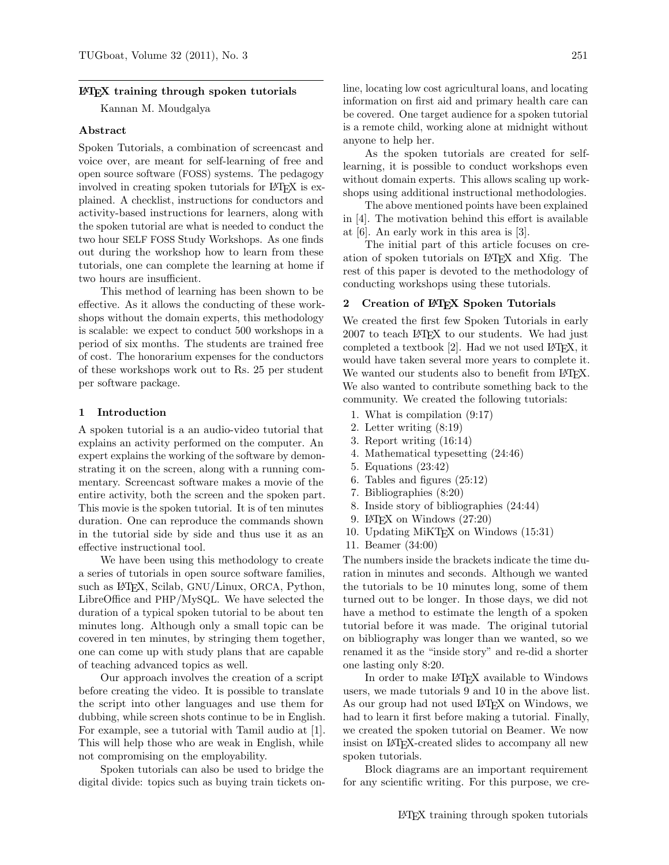## LATEX training through spoken tutorials

Kannan M. Moudgalya

## Abstract

Spoken Tutorials, a combination of screencast and voice over, are meant for self-learning of free and open source software (FOSS) systems. The pedagogy involved in creating spoken tutorials for LAT<sub>EX</sub> is explained. A checklist, instructions for conductors and activity-based instructions for learners, along with the spoken tutorial are what is needed to conduct the two hour SELF FOSS Study Workshops. As one finds out during the workshop how to learn from these tutorials, one can complete the learning at home if two hours are insufficient.

This method of learning has been shown to be effective. As it allows the conducting of these workshops without the domain experts, this methodology is scalable: we expect to conduct 500 workshops in a period of six months. The students are trained free of cost. The honorarium expenses for the conductors of these workshops work out to Rs. 25 per student per software package.

# 1 Introduction

A spoken tutorial is a an audio-video tutorial that explains an activity performed on the computer. An expert explains the working of the software by demonstrating it on the screen, along with a running commentary. Screencast software makes a movie of the entire activity, both the screen and the spoken part. This movie is the spoken tutorial. It is of ten minutes duration. One can reproduce the commands shown in the tutorial side by side and thus use it as an effective instructional tool.

We have been using this methodology to create a series of tutorials in open source software families, such as L<sup>AT</sup>FX, Scilab, GNU/Linux, ORCA, Python, LibreOffice and PHP/MySQL. We have selected the duration of a typical spoken tutorial to be about ten minutes long. Although only a small topic can be covered in ten minutes, by stringing them together, one can come up with study plans that are capable of teaching advanced topics as well.

Our approach involves the creation of a script before creating the video. It is possible to translate the script into other languages and use them for dubbing, while screen shots continue to be in English. For example, see a tutorial with Tamil audio at [\[1\]](#page-5-0). This will help those who are weak in English, while not compromising on the employability.

Spoken tutorials can also be used to bridge the digital divide: topics such as buying train tickets on-

line, locating low cost agricultural loans, and locating information on first aid and primary health care can be covered. One target audience for a spoken tutorial is a remote child, working alone at midnight without anyone to help her.

As the spoken tutorials are created for selflearning, it is possible to conduct workshops even without domain experts. This allows scaling up workshops using additional instructional methodologies.

The above mentioned points have been explained in [\[4\]](#page-5-1). The motivation behind this effort is available at [\[6\]](#page-5-2). An early work in this area is [\[3\]](#page-5-3).

The initial part of this article focuses on creation of spoken tutorials on LATEX and Xfig. The rest of this paper is devoted to the methodology of conducting workshops using these tutorials.

# 2 Creation of LATEX Spoken Tutorials

We created the first few Spoken Tutorials in early 2007 to teach LATEX to our students. We had just completed a textbook  $[2]$ . Had we not used LAT<sub>EX</sub>, it would have taken several more years to complete it. We wanted our students also to benefit from LAT<sub>EX</sub>. We also wanted to contribute something back to the community. We created the following tutorials:

- 1. What is compilation (9:17)
- 2. Letter writing (8:19)
- 3. Report writing (16:14)
- 4. Mathematical typesetting (24:46)
- 5. Equations (23:42)
- 6. Tables and figures (25:12)
- 7. Bibliographies (8:20)
- 8. Inside story of bibliographies (24:44)
- 9. LATEX on Windows (27:20)
- 10. Updating MiKTEX on Windows (15:31)
- 11. Beamer (34:00)

The numbers inside the brackets indicate the time duration in minutes and seconds. Although we wanted the tutorials to be 10 minutes long, some of them turned out to be longer. In those days, we did not have a method to estimate the length of a spoken tutorial before it was made. The original tutorial on bibliography was longer than we wanted, so we renamed it as the "inside story" and re-did a shorter one lasting only 8:20.

In order to make L<sup>AT</sup>FX available to Windows users, we made tutorials 9 and 10 in the above list. As our group had not used L<sup>AT</sup>EX on Windows, we had to learn it first before making a tutorial. Finally, we created the spoken tutorial on Beamer. We now insist on LATEX-created slides to accompany all new spoken tutorials.

Block diagrams are an important requirement for any scientific writing. For this purpose, we cre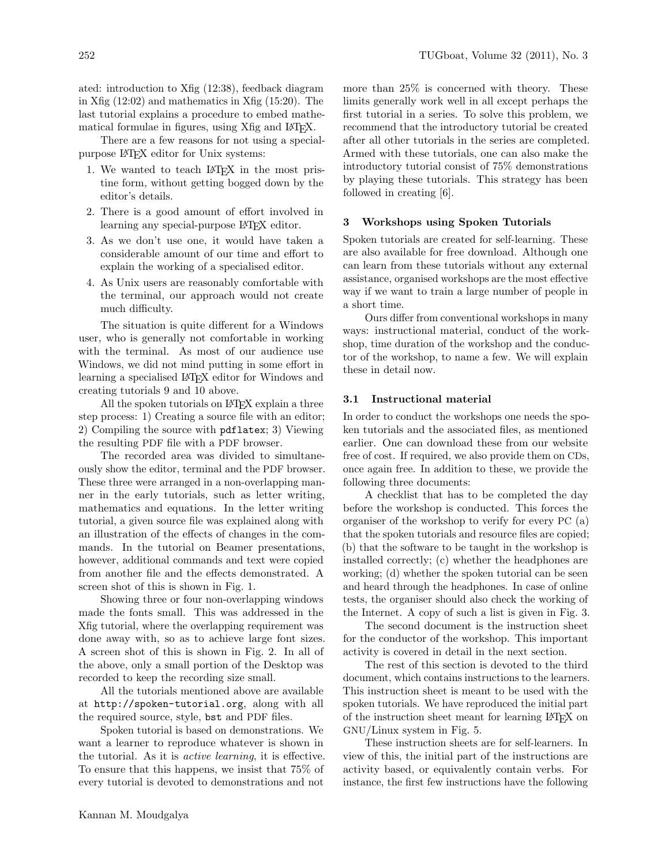ated: introduction to Xfig (12:38), feedback diagram in Xfig (12:02) and mathematics in Xfig (15:20). The last tutorial explains a procedure to embed mathematical formulae in figures, using Xfig and IATFX.

There are a few reasons for not using a specialpurpose LATEX editor for Unix systems:

- 1. We wanted to teach LAT<sub>F</sub>X in the most pristine form, without getting bogged down by the editor's details.
- 2. There is a good amount of effort involved in learning any special-purpose LAT<sub>EX</sub> editor.
- 3. As we don't use one, it would have taken a considerable amount of our time and effort to explain the working of a specialised editor.
- 4. As Unix users are reasonably comfortable with the terminal, our approach would not create much difficulty.

The situation is quite different for a Windows user, who is generally not comfortable in working with the terminal. As most of our audience use Windows, we did not mind putting in some effort in learning a specialised LATEX editor for Windows and creating tutorials 9 and 10 above.

All the spoken tutorials on LAT<sub>EX</sub> explain a three step process: 1) Creating a source file with an editor; 2) Compiling the source with pdflatex; 3) Viewing the resulting PDF file with a PDF browser.

The recorded area was divided to simultaneously show the editor, terminal and the PDF browser. These three were arranged in a non-overlapping manner in the early tutorials, such as letter writing, mathematics and equations. In the letter writing tutorial, a given source file was explained along with an illustration of the effects of changes in the commands. In the tutorial on Beamer presentations, however, additional commands and text were copied from another file and the effects demonstrated. A screen shot of this is shown in Fig. [1.](#page-2-0)

Showing three or four non-overlapping windows made the fonts small. This was addressed in the Xfig tutorial, where the overlapping requirement was done away with, so as to achieve large font sizes. A screen shot of this is shown in Fig. [2.](#page-2-1) In all of the above, only a small portion of the Desktop was recorded to keep the recording size small.

All the tutorials mentioned above are available at <http://spoken-tutorial.org>, along with all the required source, style, <bst> and PDF files.

Spoken tutorial is based on demonstrations. We want a learner to reproduce whatever is shown in the tutorial. As it is active learning, it is effective. To ensure that this happens, we insist that 75% of every tutorial is devoted to demonstrations and not

more than 25% is concerned with theory. These limits generally work well in all except perhaps the first tutorial in a series. To solve this problem, we recommend that the introductory tutorial be created after all other tutorials in the series are completed. Armed with these tutorials, one can also make the introductory tutorial consist of 75% demonstrations by playing these tutorials. This strategy has been followed in creating [\[6\]](#page-5-2).

# 3 Workshops using Spoken Tutorials

Spoken tutorials are created for self-learning. These are also available for free download. Although one can learn from these tutorials without any external assistance, organised workshops are the most effective way if we want to train a large number of people in a short time.

Ours differ from conventional workshops in many ways: instructional material, conduct of the workshop, time duration of the workshop and the conductor of the workshop, to name a few. We will explain these in detail now.

### 3.1 Instructional material

In order to conduct the workshops one needs the spoken tutorials and the associated files, as mentioned earlier. One can download these from our website free of cost. If required, we also provide them on CDs, once again free. In addition to these, we provide the following three documents:

A checklist that has to be completed the day before the workshop is conducted. This forces the organiser of the workshop to verify for every PC (a) that the spoken tutorials and resource files are copied; (b) that the software to be taught in the workshop is installed correctly; (c) whether the headphones are working; (d) whether the spoken tutorial can be seen and heard through the headphones. In case of online tests, the organiser should also check the working of the Internet. A copy of such a list is given in Fig. [3.](#page-3-0)

The second document is the instruction sheet for the conductor of the workshop. This important activity is covered in detail in the next section.

The rest of this section is devoted to the third document, which contains instructions to the learners. This instruction sheet is meant to be used with the spoken tutorials. We have reproduced the initial part of the instruction sheet meant for learning LATEX on GNU/Linux system in Fig. [5.](#page-4-0)

These instruction sheets are for self-learners. In view of this, the initial part of the instructions are activity based, or equivalently contain verbs. For instance, the first few instructions have the following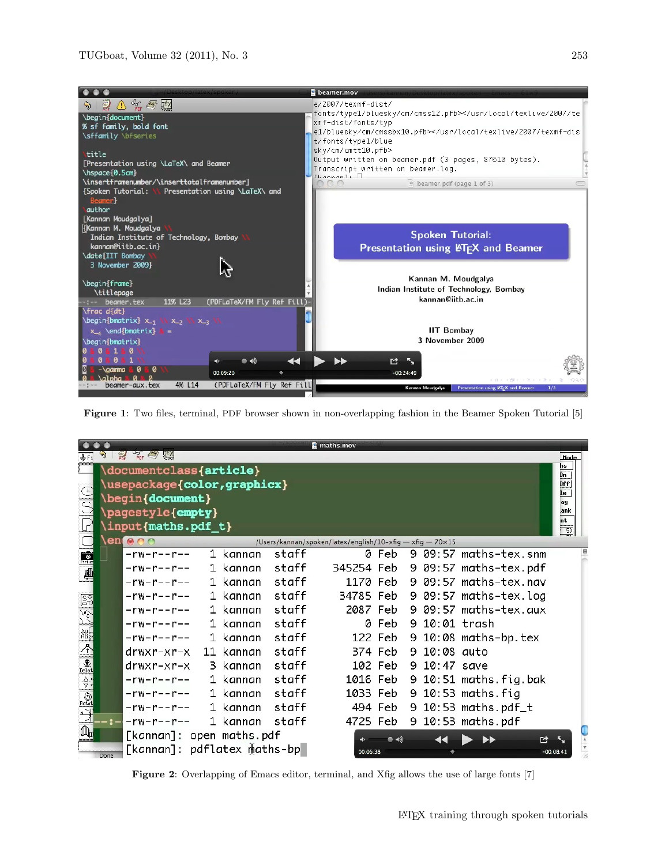

Figure 1: Two files, terminal, PDF browser shown in non-overlapping fashion in the Beamer Spoken Tutorial [\[5\]](#page-5-5)

<span id="page-2-0"></span>

|                                                   |                                     |                             |  |           |       | maths.mov                                                 |         |  |               |                       |                                     |  |
|---------------------------------------------------|-------------------------------------|-----------------------------|--|-----------|-------|-----------------------------------------------------------|---------|--|---------------|-----------------------|-------------------------------------|--|
|                                                   |                                     | PDL Company FEX<br>POF      |  |           |       |                                                           |         |  |               |                       | <b>Hode</b><br>hs                   |  |
|                                                   | documentclass{article}<br>Dn<br>Dff |                             |  |           |       |                                                           |         |  |               |                       |                                     |  |
|                                                   |                                     | \usepackage{color,graphicx} |  |           |       |                                                           |         |  |               |                       |                                     |  |
| $\rho _{\Theta}$                                  |                                     | begin{document}             |  |           |       |                                                           |         |  |               |                       |                                     |  |
|                                                   |                                     | \pagestyle{empty}           |  |           |       |                                                           |         |  |               |                       | .ank                                |  |
| $\mathbb{P}$                                      |                                     | input{maths.pdf_t}          |  |           |       |                                                           |         |  |               |                       | nt<br>$\frac{50}{2}$                |  |
|                                                   |                                     | en o o o                    |  |           |       | /Users/kannan/spoken/latex/english/10-xfig - xfig - 70×15 |         |  |               |                       |                                     |  |
| $\frac{1}{P_{\text{left}}}$                       |                                     | $-rw-r--r--$                |  | 1 kannan  | staff |                                                           | 0 Feb   |  |               | 9 09:57 maths-tex.snm |                                     |  |
| $\blacksquare$                                    |                                     | $-rw-r--r--$                |  | 1 kannan  | staff | 345254 Feb                                                |         |  |               | 9 09:57 maths-tex.pdf |                                     |  |
|                                                   |                                     | $-rw-r--r--$                |  | 1 kannan  | staff | 1170 Feb                                                  |         |  |               | 9 09:57 maths-tex.nav |                                     |  |
| 55                                                |                                     | $-rw-r--r--$                |  | 1 kannan  | staff | 34785 Feb                                                 |         |  |               | 9 09:57 maths-tex.log |                                     |  |
|                                                   |                                     | $-rw-r--r--$                |  | 1 kannan  | staff | 2087 Feb                                                  |         |  |               | 9 09:57 maths-tex.aux |                                     |  |
| $\sum_{i=1}^{n}$                                  |                                     | $-rw-r--r--$                |  | 1 kannan  | staff |                                                           | 0 Feb   |  | 9 10:01 trash |                       |                                     |  |
| $\frac{\Delta \mathfrak{g}}{\mathsf{Aligr}}$      |                                     | $-rw-r--r--$                |  | 1 kannan  | staff |                                                           | 122 Feb |  |               | 9 10:08 maths-bp.tex  |                                     |  |
| $\triangle$                                       |                                     | drwxr-xr-x                  |  | 11 kannan | staff | 374 Feb                                                   |         |  | 9 10:08 auto  |                       |                                     |  |
| $\overline{\mathcal{L}}$<br>Delet                 |                                     | drwxr-xr-x                  |  | 3 kannan  | staff | 102 Feb                                                   |         |  | 9 10:47 save  |                       |                                     |  |
| $\frac{\Delta}{\nabla}$                           |                                     | $-rw-r--r--$                |  | 1 kannan  | staff | 1016 Feb                                                  |         |  |               | 9 10:51 maths.fig.bak |                                     |  |
|                                                   |                                     | $-rw-r--r--$                |  | 1 kannan  | staff | 1033 Feb                                                  |         |  |               | 9 10:53 maths.fig     |                                     |  |
| $\frac{1}{\sqrt{\frac{1}{2} \frac{1}{\sqrt{2}}}}$ |                                     | $-rw-r--r--$                |  | 1 kannan  | staff |                                                           | 494 Feb |  |               | 9 10:53 maths.pdf_t   |                                     |  |
|                                                   |                                     | $-rw-r--r--$                |  | 1 kannan  | staff | 4725 Feb                                                  |         |  |               | 9 10:53 maths.pdf     |                                     |  |
| $\mathbb{A}_{\mathbb{H}}$                         |                                     | [kannan]: open maths.pdf    |  |           |       |                                                           | ● ◀ঠ    |  |               | ඦ                     | Ā                                   |  |
|                                                   | Done                                | [kannan]: pdflatex maths-bp |  |           |       | 00:06:38                                                  |         |  |               |                       | $\frac{1}{\sqrt{2}}$<br>$-00:08:41$ |  |

<span id="page-2-1"></span>Figure 2: Overlapping of Emacs editor, terminal, and Xfig allows the use of large fonts [\[7\]](#page-5-6)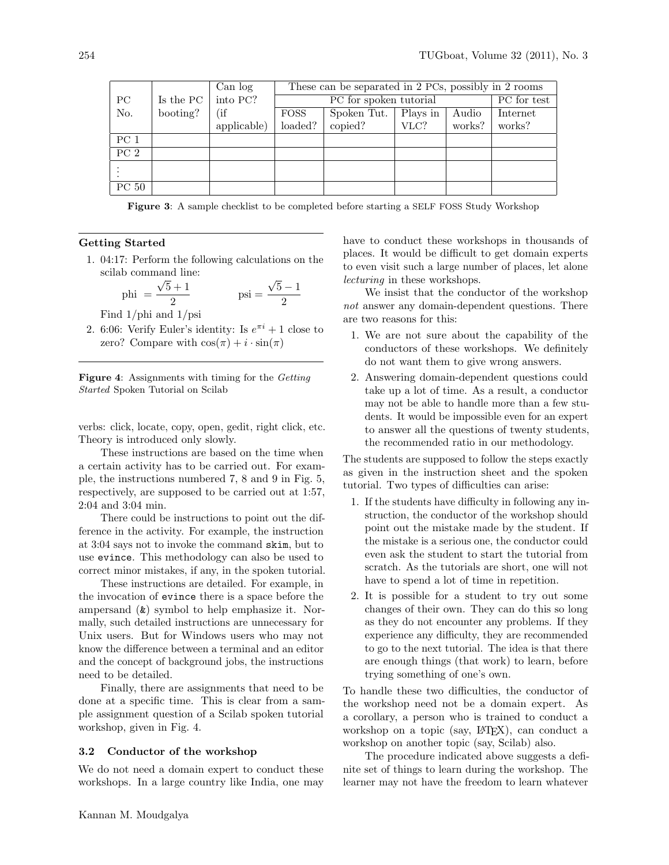|                 |           | Can log     |             |             | These can be separated in 2 PCs, possibly in 2 rooms |        |          |
|-----------------|-----------|-------------|-------------|-------------|------------------------------------------------------|--------|----------|
| $_{\rm PC}$     | Is the PC | into PC?    |             | PC for test |                                                      |        |          |
| No.             | booting?  | (if         | <b>FOSS</b> | Spoken Tut. | Plays in                                             | Audio  | Internet |
|                 |           | applicable) | loaded?     | copied?     | VLC?                                                 | works? | works?   |
| PC <sub>1</sub> |           |             |             |             |                                                      |        |          |
| PC <sub>2</sub> |           |             |             |             |                                                      |        |          |
|                 |           |             |             |             |                                                      |        |          |
| PC 50           |           |             |             |             |                                                      |        |          |

<span id="page-3-0"></span>Figure 3: A sample checklist to be completed before starting a SELF FOSS Study Workshop

# Getting Started

1. 04:17: Perform the following calculations on the scilab command line: √ √

phi = 
$$
\frac{\sqrt{5}+1}{2}
$$
psi = 
$$
\frac{\sqrt{5}-1}{2}
$$

Find 1/phi and 1/psi

2. 6:06: Verify Euler's identity: Is  $e^{\pi i} + 1$  close to zero? Compare with  $\cos(\pi) + i \cdot \sin(\pi)$ 

<span id="page-3-1"></span>Figure 4: Assignments with timing for the Getting Started Spoken Tutorial on Scilab

verbs: click, locate, copy, open, gedit, right click, etc. Theory is introduced only slowly.

These instructions are based on the time when a certain activity has to be carried out. For example, the instructions numbered 7, 8 and 9 in Fig. [5,](#page-4-0) respectively, are supposed to be carried out at 1:57, 2:04 and 3:04 min.

There could be instructions to point out the difference in the activity. For example, the instruction at 3:04 says not to invoke the command skim, but to use evince. This methodology can also be used to correct minor mistakes, if any, in the spoken tutorial.

These instructions are detailed. For example, in the invocation of evince there is a space before the ampersand (&) symbol to help emphasize it. Normally, such detailed instructions are unnecessary for Unix users. But for Windows users who may not know the difference between a terminal and an editor and the concept of background jobs, the instructions need to be detailed.

Finally, there are assignments that need to be done at a specific time. This is clear from a sample assignment question of a Scilab spoken tutorial workshop, given in Fig. [4.](#page-3-1)

# 3.2 Conductor of the workshop

We do not need a domain expert to conduct these workshops. In a large country like India, one may have to conduct these workshops in thousands of places. It would be difficult to get domain experts to even visit such a large number of places, let alone lecturing in these workshops.

We insist that the conductor of the workshop not answer any domain-dependent questions. There are two reasons for this:

- 1. We are not sure about the capability of the conductors of these workshops. We definitely do not want them to give wrong answers.
- 2. Answering domain-dependent questions could take up a lot of time. As a result, a conductor may not be able to handle more than a few students. It would be impossible even for an expert to answer all the questions of twenty students, the recommended ratio in our methodology.

The students are supposed to follow the steps exactly as given in the instruction sheet and the spoken tutorial. Two types of difficulties can arise:

- 1. If the students have difficulty in following any instruction, the conductor of the workshop should point out the mistake made by the student. If the mistake is a serious one, the conductor could even ask the student to start the tutorial from scratch. As the tutorials are short, one will not have to spend a lot of time in repetition.
- 2. It is possible for a student to try out some changes of their own. They can do this so long as they do not encounter any problems. If they experience any difficulty, they are recommended to go to the next tutorial. The idea is that there are enough things (that work) to learn, before trying something of one's own.

To handle these two difficulties, the conductor of the workshop need not be a domain expert. As a corollary, a person who is trained to conduct a workshop on a topic (say, LAT<sub>EX</sub>), can conduct a workshop on another topic (say, Scilab) also.

The procedure indicated above suggests a definite set of things to learn during the workshop. The learner may not have the freedom to learn whatever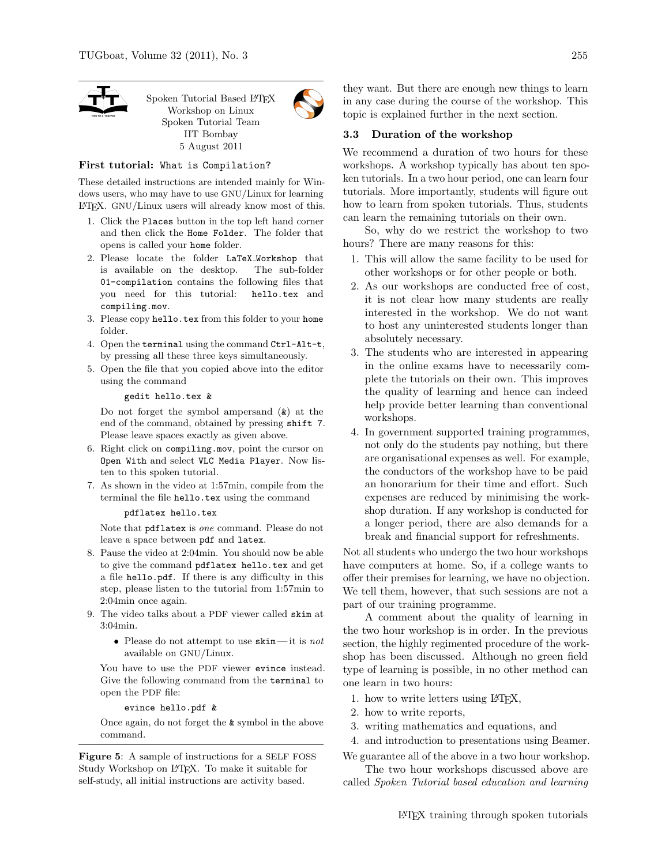

Spoken Tutorial Based LATFX Workshop on Linux Spoken Tutorial Team IIT Bombay 5 August 2011

### First tutorial: What is Compilation?

These detailed instructions are intended mainly for Windows users, who may have to use GNU/Linux for learning LATEX. GNU/Linux users will already know most of this.

- 1. Click the Places button in the top left hand corner and then click the Home Folder. The folder that opens is called your home folder.
- 2. Please locate the folder LaTeX Workshop that is available on the desktop. The sub-folder 01-compilation contains the following files that you need for this tutorial: hello.tex and compiling.mov.
- 3. Please copy hello.tex from this folder to your home folder.
- 4. Open the terminal using the command Ctrl-Alt-t, by pressing all these three keys simultaneously.
- 5. Open the file that you copied above into the editor using the command

#### gedit hello.tex &

Do not forget the symbol ampersand  $(k)$  at the end of the command, obtained by pressing shift 7. Please leave spaces exactly as given above.

- 6. Right click on compiling.mov, point the cursor on Open With and select VLC Media Player. Now listen to this spoken tutorial.
- 7. As shown in the video at 1:57min, compile from the terminal the file hello.tex using the command

### pdflatex hello.tex

Note that pdflatex is one command. Please do not leave a space between pdf and latex.

- 8. Pause the video at 2:04min. You should now be able to give the command pdflatex hello.tex and get a file hello.pdf. If there is any difficulty in this step, please listen to the tutorial from 1:57min to 2:04min once again.
- 9. The video talks about a PDF viewer called skim at 3:04min.
	- Please do not attempt to use  $\texttt{skin}$ —it is not available on GNU/Linux.

You have to use the PDF viewer evince instead. Give the following command from the terminal to open the PDF file:

#### evince hello.pdf &

<span id="page-4-0"></span>Once again, do not forget the & symbol in the above command.

Figure 5: A sample of instructions for a SELF FOSS Study Workshop on L<sup>AT</sup>EX. To make it suitable for self-study, all initial instructions are activity based.

they want. But there are enough new things to learn in any case during the course of the workshop. This topic is explained further in the next section.

### 3.3 Duration of the workshop

We recommend a duration of two hours for these workshops. A workshop typically has about ten spoken tutorials. In a two hour period, one can learn four tutorials. More importantly, students will figure out how to learn from spoken tutorials. Thus, students can learn the remaining tutorials on their own.

So, why do we restrict the workshop to two hours? There are many reasons for this:

- 1. This will allow the same facility to be used for other workshops or for other people or both.
- 2. As our workshops are conducted free of cost, it is not clear how many students are really interested in the workshop. We do not want to host any uninterested students longer than absolutely necessary.
- 3. The students who are interested in appearing in the online exams have to necessarily complete the tutorials on their own. This improves the quality of learning and hence can indeed help provide better learning than conventional workshops.
- 4. In government supported training programmes, not only do the students pay nothing, but there are organisational expenses as well. For example, the conductors of the workshop have to be paid an honorarium for their time and effort. Such expenses are reduced by minimising the workshop duration. If any workshop is conducted for a longer period, there are also demands for a break and financial support for refreshments.

Not all students who undergo the two hour workshops have computers at home. So, if a college wants to offer their premises for learning, we have no objection. We tell them, however, that such sessions are not a part of our training programme.

A comment about the quality of learning in the two hour workshop is in order. In the previous section, the highly regimented procedure of the workshop has been discussed. Although no green field type of learning is possible, in no other method can one learn in two hours:

- 1. how to write letters using LATEX,
- 2. how to write reports,
- 3. writing mathematics and equations, and
- 4. and introduction to presentations using Beamer.

We guarantee all of the above in a two hour workshop. The two hour workshops discussed above are

called Spoken Tutorial based education and learning